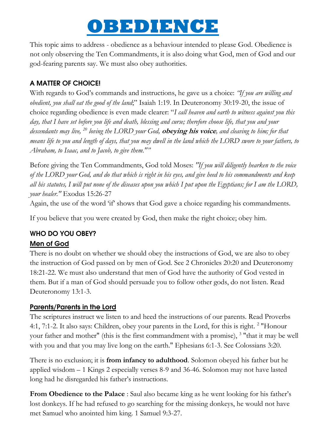# **OBEDIENCE**

This topic aims to address - obedience as a behaviour intended to please God. Obedience is not only observing the Ten Commandments, it is also doing what God, men of God and our god-fearing parents say. We must also obey authorities.

## A MATTER OF CHOICE!

With regards to God"s commands and instructions, he gave us a choice: *"If you are willing and obedient, you shall eat the good of the land*;" Isaiah 1:19. In Deuteronomy 30:19-20, the issue of choice regarding obedience is even made clearer: "*I call heaven and earth to witness against you this day, that I have set before you life and death, blessing and curse; therefore choose life, that you and your descendants may live, <sup>20</sup> loving the LORD your God,* **obeying his voice***, and cleaving to him; for that means life to you and length of days, that you may dwell in the land which the LORD swore to your fathers, to Abraham, to Isaac, and to Jacob, to give them.""*

Before giving the Ten Commandments, God told Moses: *"If you will diligently hearken to the voice of the LORD your God, and do that which is right in his eyes, and give heed to his commandments and keep all his statutes, I will put none of the diseases upon you which I put upon the Egyptians; for I am the LORD, your healer."* Exodus 15:26-27

Again, the use of the word 'if' shows that God gave a choice regarding his commandments.

If you believe that you were created by God, then make the right choice; obey him.

# WHO DO YOU OBEY?

## Men of God

There is no doubt on whether we should obey the instructions of God, we are also to obey the instruction of God passed on by men of God. See 2 Chronicles 20:20 and Deuteronomy 18:21-22. We must also understand that men of God have the authority of God vested in them. But if a man of God should persuade you to follow other gods, do not listen. Read Deuteronomy 13:1-3.

## Parents/Parents in the Lord

The scriptures instruct we listen to and heed the instructions of our parents. Read Proverbs 4:1, 7:1-2. It also says: Children, obey your parents in the Lord, for this is right.<sup>2</sup> "Honour your father and mother" (this is the first commandment with a promise), <sup>3</sup> "that it may be well with you and that you may live long on the earth." Ephesians 6:1-3. See Colossians 3:20.

There is no exclusion; it is **from infancy to adulthood**. Solomon obeyed his father but he applied wisdom – 1 Kings 2 especially verses 8-9 and 36-46. Solomon may not have lasted long had he disregarded his father's instructions.

**From Obedience to the Palace** : Saul also became king as he went looking for his father's lost donkeys. If he had refused to go searching for the missing donkeys, he would not have met Samuel who anointed him king. 1 Samuel 9:3-27.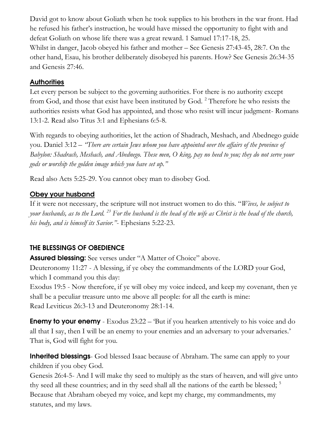David got to know about Goliath when he took supplies to his brothers in the war front. Had he refused his father"s instruction, he would have missed the opportunity to fight with and defeat Goliath on whose life there was a great reward. 1 Samuel 17:17-18, 25. Whilst in danger, Jacob obeyed his father and mother – See Genesis 27:43-45, 28:7. On the other hand, Esau, his brother deliberately disobeyed his parents. How? See Genesis 26:34-35 and Genesis 27:46.

## **Authorities**

Let every person be subject to the governing authorities. For there is no authority except from God, and those that exist have been instituted by God. <sup>2</sup> Therefore he who resists the authorities resists what God has appointed, and those who resist will incur judgment- Romans 13:1-2. Read also Titus 3:1 and Ephesians 6:5-8.

With regards to obeying authorities, let the action of Shadrach, Meshach, and Abednego guide you. Daniel 3:12 – *"There are certain Jews whom you have appointed over the affairs of the province of Babylon: Shadrach, Meshach, and Abednego. These men, O king, pay no heed to you; they do not serve your gods or worship the golden image which you have set up."*

Read also Acts 5:25-29. You cannot obey man to disobey God.

# Obey your husband

If it were not necessary, the scripture will not instruct women to do this. "*Wives, be subject to your husbands, as to the Lord. <sup>23</sup> For the husband is the head of the wife as Christ is the head of the church, his body, and is himself its Savior."*- Ephesians 5:22-23.

# THE BLESSINGS OF OBEDIENCE

Assured blessing: See verses under "A Matter of Choice" above.

Deuteronomy 11:27 - A blessing, if ye obey the commandments of the LORD your God, which I command you this day:

Exodus 19:5 - Now therefore, if ye will obey my voice indeed, and keep my covenant, then ye shall be a peculiar treasure unto me above all people: for all the earth is mine: Read Leviticus 26:3-13 and Deuteronomy 28:1-14.

**Enemy to your enemy** - Exodus 23:22 – 'But if you hearken attentively to his voice and do all that I say, then I will be an enemy to your enemies and an adversary to your adversaries.' That is, God will fight for you.

Inherited blessings- God blessed Isaac because of Abraham. The same can apply to your children if you obey God.

Genesis 26:4-5- And I will make thy seed to multiply as the stars of heaven, and will give unto thy seed all these countries; and in thy seed shall all the nations of the earth be blessed;  $5$ Because that Abraham obeyed my voice, and kept my charge, my commandments, my statutes, and my laws.